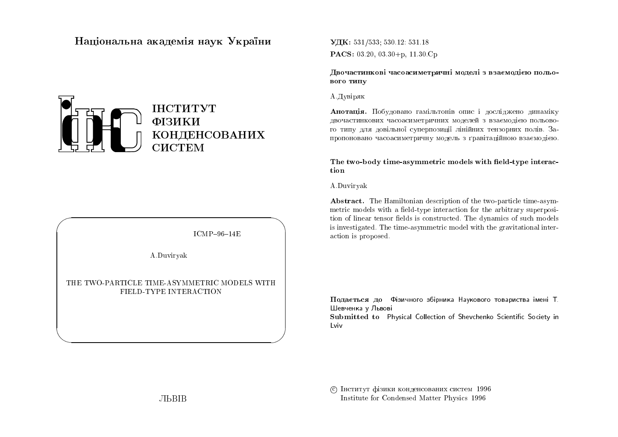# Національна академія наук  $\mathbf{{V}}$ країни



 $ICMP-96-14E$ 

 $\bigwedge$ 

 $\bigcup$ 

A.Duviryak

 $\bigg($ 

 $\setminus$ 

# THE TWO-PARTICLE TIME-ASYMMETRIC MODELS WITH FIELD-TYPE INTERACTION

UDK: 531/533; 530.12: 531.18 $\mathbf{PACS:}\; 03.20,\, 03.30{+} \text{p,}\; 11.30$ .Cp

Двочастинкові часоасиметричні моделі з взаємодією польо-<br>pore surv вого типу

А. Дувіряк

 ${\bf A}$ нотація. Побудовано гамільтонів опис і досліджено динаміку двочастинкових часоасиметричних моделей з взаємодією польово-<br>С го типу для довільної суперпозиції лінійних тензорних полів. Запропоновано часоасиметричну модель з ґравітаційною взаємодією.<br>'

The two-body time-asymmetric models with field-type interaction

A.Duviryak

Abstract. The Hamiltonian description of the two-particle time-asymmetric models with a field-type interaction for the arbitrary superposition of linear tensor fields is constructed. The dynamics of such models is investigated. The time-asymmetric model with the gravitational interaction is proposed.

Подається до Фізичного збірника Наукового товариства імені Т.<br>...  $\sqcup$ евченка у Львові

 ${\bf Submitted\ to\ \ \ \ \ }$ Physical Collection of Shevchenko Scientific Society in Lviv

© Інститут фізики конденсованих систем 1996 Institute for Condensed Matter Physics <sup>1996</sup>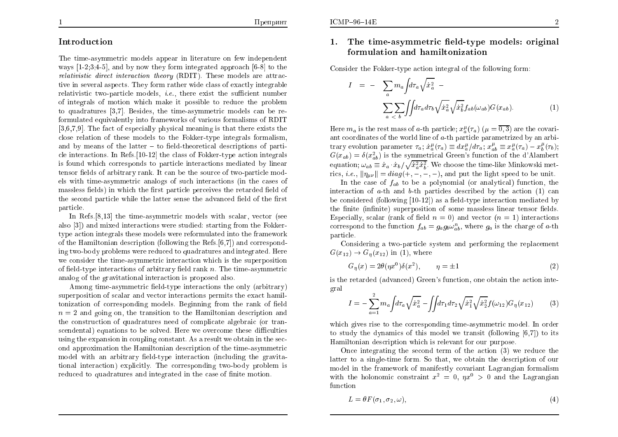## Introduction

The time-asymmetric models appear in literature on few independent ways  $[1-2,3;4-5]$ , and by now they form integrated approach  $[6-8]$  to the relativistic direct interaction theory (RDIT). These models are attractive in several aspects. They form rather wide class of exactly integrable<br>relativistic two particle models, i.e., there exist the sufficient number relativistic two-particle models,  $i.e.,$  there exist the sufficient number of integrals of motion whic h make it possible to reduce the problem to quadratures [3,7]. Besides, the time-asymmetric models can be reformulated equivalently into frameworks of various formalisms of RDIT [3,6,7,9]. The fact of especially <sup>p</sup>hysical meaning is that there exists the close relation of these models to the Fokker-type integrals formalism, and by means of the latter  $-$  to field-theoretical descriptions of parti- cle interactions. In Refs.[10-12] the class of Fokker-type action integrals is found whic h corresponds to particle interactions mediated by linear  $t$ ensor fields of arbitrary rank. It can be the source of two-particle models with time-asymmetric analogs of suc h interactions (in the cases of massless fields) in which the first particle perceives the retarded field of the second particle while the latter sense the advanced field of the first  $\,$ particle.

 In Refs.[8,13] the time-asymmetric models with scalar, vector (see also [3]) and mixed interactions were studied: starting from the Fokkertype action integrals these models were reformulated into the framework of the Hamiltonian description (following the Refs.[6,7]) and corresponding two-body problems were reduced to quadratures and integrated. Here we consider the time-asymmetric interaction whic h is the superposition of field-type interactions of arbitrary field rank  $n$ . The time-asymmetric analog of the gravitational interaction is proposed also.

 $A$ mong time-asymmetric field-type interactions the only  $\left(\mathrm{arbitrary}\right)$ superposition of scalar and vector interactions permits the exact hamiltonization of corresponding models. Beginning from the rank of field<br>can be and gaing on the transition to the Hamiltonian description and  $n=2$  and going on, the transition to the Hamiltonian description and the construction of and determined and the construction of and  $\epsilon$  the construction of quadratures need of complicate algebraic (or tran- $\rm{secondental)}$  equations to be  $\rm{solved.}$  Here we overcome these difficulties using the expansion in coupling constant. As a result we obtain in the second approximation the Hamiltonian description of the time-asymmetric  $\mod$  with an arbitrary field-type interaction (including the gravitational interaction) explicitly. The corresponding two-body problem is<br>reduced to surductures and internated in the seas of finite mation reduced to quadratures and integrated in the case of finite motion.

#### 1.. The time-asymmetric field-type models: original formulation and hamiltonization

 $\emph{Consider the Fokker-type action integral of the following form:}$ 

$$
I = - \sum_{a} m_a \int d\tau_a \sqrt{\dot{x}_a^2} - \sum_{a < b} \int \int d\tau_a d\tau_b \sqrt{\dot{x}_a^2} \sqrt{\dot{x}_b^2} f_{ab}(\omega_{ab}) G(x_{ab}).
$$
 (1)

Here  $m_a$  is the rest mass of a-th particle;  $x_a^{\mu}(\tau_a)$  ( $\mu = 0, 3$ ) are the covariant coordinates of the world line of  $a$ -th particle parametrized by an arbitrary evolution parameter  $\tau_a$ ;  $\dot{x}_a^{\mu}(\tau_a) \equiv dx_a^{\mu}/d\tau_a$ ;  $x_{ab}^{\mu} \equiv x_a^{\mu}(\tau_a) - x_b^{\mu}(\tau_b)$ ;  $G(x_{ab}) = \delta(x_{ab}^2)$  is the symmetrical Green's function of the d'Alambert equation;  $\omega_{ab} \equiv \dot{x}_a \cdot \dot{x}_b / \sqrt{\dot{x}_a^2 \dot{x}_b^2}$ . We choose the time-like Minkowski metrics, *i.e.*,  $\|\eta_{\mu\nu}\| = diag(+, -, -, -)$ , and put the light speed to be unit.

In the case of  $f_{ab}$  to be a polynomial (or analytical) function, the interaction of  $a$ -th and  $b$ -th particles described by the action (1) can be considered (following  $[10-12]$ ) as a field-type interaction mediated by the finite  $(\text{infinite})$  superposition of some massless linear tensor fields. Especially, scalar (rank of field  $n = 0$ ) and vector  $(n = 1)$  interactions correspond to the function  $f_{ab}=g_{a}g_{b}\omega_{ab}^{n}$ , where  $g_{a}$  is the charge of a-th particle.

Considering a two-particle system and performing the replacement  $G(x_{12}) \to G_{\eta}(x_{12})$  in (1), where

$$
G_{\eta}(x) = 2\theta(\eta x^{0})\delta(x^{2}), \qquad \eta = \pm 1
$$
\n(2)

is the retarded (advanced) Green's function, one obtain the action integral

$$
I = -\sum_{a=1}^{2} m_a \int d\tau_a \sqrt{\dot{x}_a^2} - \int \int d\tau_1 d\tau_2 \sqrt{\dot{x}_1^2} \sqrt{\dot{x}_2^2} f(\omega_{12}) G_{\eta}(x_{12}) \tag{3}
$$

which <sup>g</sup>ives rise to the corresponding time-asymmetric model. In order to study the dynamics of this model we transit (following [6,7]) to its Hamiltonian description whic h is relevant for our purpose.

Once integrating the second term of the action (3) we reduce the latter to a single-time form. So that, we obtain the description of our model in the framework of manifestly co variant Lagrangian formalismwith the holonomic constraint  $x^2 = 0$ ,  $\eta x^0 > 0$  and the Lagrangian function

$$
L = \theta F(\sigma_1, \sigma_2, \omega), \tag{4}
$$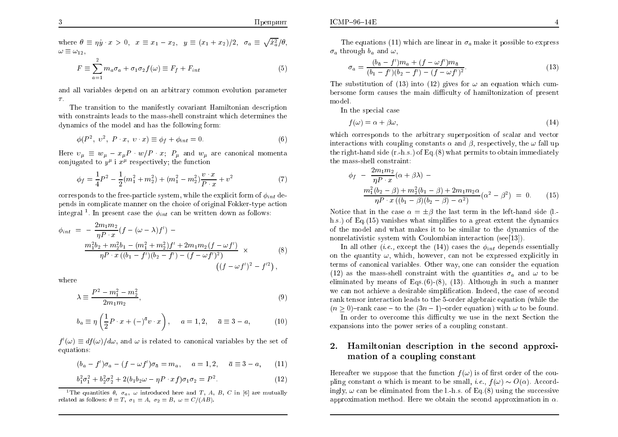where  $\theta \equiv \eta \dot{y} \cdot x > 0$ ,  $x \equiv x_1 - x_2$ ,  $y \equiv (x_1 + x_2)/2$ ,  $\sigma_a \equiv \sqrt{\dot{x}_a^2}/\theta$ ,  $\omega \equiv \omega_{12},$ 

$$
F \equiv \sum_{a=1}^{2} m_a \sigma_a + \sigma_1 \sigma_2 f(\omega) \equiv F_f + F_{int}
$$
 (5)

and all variables depend on an arbitrary common evolution parameter  $\tau$ .

The transition to the manifestly co variant Hamiltonian description with constraints leads to the mass-shell constraint whic h determines the dynamics of the model and has the following form:

$$
\phi(P^2, v^2, P \cdot x, v \cdot x) \equiv \phi_f + \phi_{int} = 0. \tag{6}
$$

Here  $v_{\mu} \equiv w_{\mu} - x_{\mu}P \cdot w/P \cdot x$ ;  $P_{\mu}$  and  $w_{\mu}$  are canonical momenta conjugated to  $y^{\mu}$  i  $x^{\mu}$  respectively; the function

$$
\phi_f = \frac{1}{4}P^2 - \frac{1}{2}(m_1^2 + m_2^2) + (m_1^2 - m_2^2)\frac{v \cdot x}{P \cdot x} + v^2
$$
\n(7)

corresponds to the free-particle system, while the explicit form of  $\phi_{int}$  depends in complicate manner on the choice of original Fokker-type actionintegral<sup>1</sup>. In present case the  $\phi_{int}$  can be written down as follows:

$$
\phi_{int} = -\frac{2m_1m_2}{\eta P \cdot x} (f - (\omega - \lambda)f') -
$$
  

$$
\frac{m_1^2 b_2 + m_2^2 b_1 - (m_1^2 + m_2^2) f' + 2m_1 m_2 (f - \omega f')}{\eta P \cdot x ((b_1 - f')(b_2 - f') - (f - \omega f')^2)} \times
$$
  

$$
((f - \omega f')^2 - f'^2),
$$

where

$$
\lambda \equiv \frac{P^2 - m_1^2 - m_2^2}{2m_1 m_2},\tag{9}
$$

$$
b_a \equiv \eta \left(\frac{1}{2}P \cdot x + (-)^{\bar{a}}v \cdot x\right), \quad a = 1, 2, \quad \bar{a} \equiv 3 - a,\tag{10}
$$

 $f'(\omega) \equiv df(\omega)/d\omega$ , and  $\omega$  is related to canonical variables by the set of equations:

$$
(b_a - f')\sigma_a - (f - \omega f')\sigma_{\bar{a}} = m_a, \quad a = 1, 2, \quad \bar{a} \equiv 3 - a, \quad (11)
$$

$$
b_1^2 \sigma_1^2 + b_2^2 \sigma_2^2 + 2(b_1 b_2 \omega - \eta P \cdot x f) \sigma_1 \sigma_2 = P^2.
$$
 (12)

<sup>1</sup>The quantities  $\theta$ ,  $\sigma_a$ ,  $\omega$  introduced here and T, A, B, C in [6] are mutually related as follows:  $\theta = T$ ,  $\sigma_1 = A$ ,  $\sigma_2 = B$ ,  $\omega = C/(AB)$ .

$$
\sigma_a = \frac{(b_{\bar{a}} - f')m_a + (f - \omega f')m_{\bar{a}}}{(b_1 - f')(b_2 - f') - (f - \omega f')^2}.
$$
\n(13)

The substitution of (13) into (12) gives for  $\omega$  an equation which cumbersome form causes the main dicult y of hamiltonization of present model.

In the special case

$$
f(\omega) = \alpha + \beta \omega, \tag{14}
$$

 which corresponds to the arbitrary superposition of scalar and vectorinteractions with coupling constants  $\alpha$  and  $\beta$ , respectively, the  $\omega$  fall up the right-hand side (r.-h.s.) of Eq.(8) what permits to obtain immediately the mass-shell constraint:

$$
\phi_f - \frac{2m_1m_2}{\eta P \cdot x} (\alpha + \beta \lambda) -
$$
  

$$
\frac{m_1^2(b_2 - \beta) + m_2^2(b_1 - \beta) + 2m_1m_2\alpha}{\eta P \cdot x ((b_1 - \beta)(b_2 - \beta) - \alpha^2)} (\alpha^2 - \beta^2) = 0.
$$
 (15)

Notice that in the case  $\alpha = \pm \beta$  the last term in the left-hand side (l.-<br>h = ) of Eq. (15), suither, let simplified to a weat attent the dependent h.s.) of Eq.(15) vanishes what simplifies to a great extent the dynamics of the model and what makes it to be similar to the dynamics of the nonrelativistic system with Coulombian interaction (see[13]).

In all other  $(i.e., \text{ except the } (14))$  cases the  $\phi_{int}$  depends essentially on the quantity  $\omega$ , which, however, can not be expressed explicitly in terms of canonical variables. Other way, one can consider the equation (12) as the mass-shell constraint with the quantities  $\sigma_a$  and  $\omega$  to be eliminated by means of Eqs. $(6)$ - $(8)$ ,  $(13)$ . Although in such a manner we can not achieve <sup>a</sup> desirable simplication. Indeed, the case of second rank tensor interaction leads to the 5-order algebraic equation (while the  $(n \geq 0)$ -rank case – to the  $(3n-1)$ -order equation) with  $\omega$  to be found.

In order to overcome this difficulty we use in the next Section the expansions into the po wer series of a coupling constant.

#### 2. Hamiltonian description in the second approximation of a coupling constant

Hereafter we suppose that the function  $f(\omega)$  is of first order of the coupling constant  $\alpha$  which is meant to be small, *i.e.*,  $f(\omega) \sim O(\alpha)$ . Accordingly,  $\omega$  can be eliminated from the l.-h.s. of Eq.(8) using the successive<br>cannot involve mathed. Here a chief the second cannot instituting approximation method. Here we obtain the second approximation in  $\alpha.$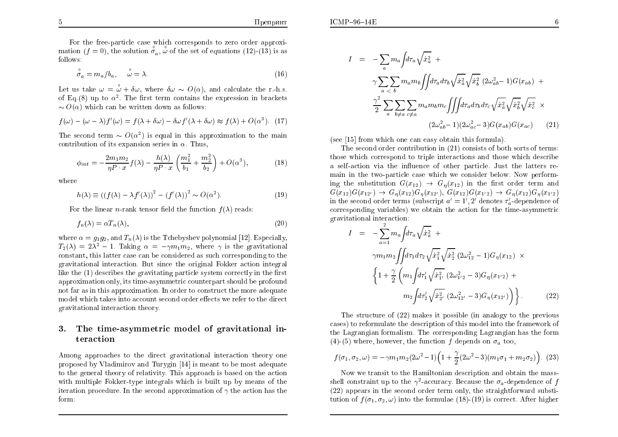For the free-particle case whic h corresponds to zero order approximation  $(f = 0)$ , the solution  $\overset{\circ}{\sigma}_a$ ,  $\overset{\circ}{\omega}$  of the set of equations (12)-(13) is as follows:

$$
\overset{\circ}{\sigma}_a = m_a/b_a, \quad \overset{\circ}{\omega} = \lambda. \tag{16}
$$

Let us take  $\omega = \frac{\delta}{\omega} + \delta \omega$ , where  $\delta \omega \sim O(\alpha)$ , and calculate the r.-h.s. of Eq.(8) up to  $\alpha^2$ . The first term contains the expression in brackets  $\sim O(\alpha)$  which can be written down as follows:

$$
f(\omega) - (\omega - \lambda)f'(\omega) = f(\lambda + \delta\omega) - \delta\omega f'(\lambda + \delta\omega) \approx f(\lambda) + O(\alpha^3). \tag{17}
$$

The second term  $\sim O(\alpha^2)$  is equal in this approximation to the main contribution of its expansion series in  $\alpha$ . Thus,

$$
\phi_{int} = -\frac{2m_1m_2}{\eta P \cdot x} f(\lambda) - \frac{h(\lambda)}{\eta P \cdot x} \left( \frac{m_1^2}{b_1} + \frac{m_2^2}{b_2} \right) + O(\alpha^3),\tag{18}
$$

where

$$
h(\lambda) \equiv ((f(\lambda) - \lambda f'(\lambda))^{2} - (f'(\lambda))^{2} \sim O(\alpha^{2}).
$$
\n(19)

For the linear *n*-rank tensor field the function  $f(\lambda)$  reads:

$$
f_n(\lambda) = \alpha T_n(\lambda),\tag{20}
$$

where  $\alpha=g_1g_2,$  and  $T_n(\lambda)$  is the Tchebyshev polynomial [12]. Especially,  $T_2(\lambda) = 2\lambda^2 - 1$ . Taking  $\alpha = -\gamma m_1 m_2$ , where  $\gamma$  is the gravitational constant, this latter case can be considered as suc h corresponding to the gravitational interaction. But since the original Fokker action integral like the  $(1)$  describes the gravitating particle system correctly in the first  $\sum_{i=1}^{n}$ approximation only, its time-asymmetric counterpart should be profound not far as in this approximation. In order to construct the more adequate  $\mod$ el which takes into account second order effects we refer to the direct gravitational interaction theory.

#### 3. The time-asymmetric model of gravitational interaction

Among approaches to the direct gravitational interaction theory one proposed by Vladimirov and Turygin  $[14]$  is meant to be most adequate to the genera<sup>l</sup> theory of relativit y. This approach is based on the action  $with$  multiple Fokker-type integrals which is built up by means of the iteration procedure. In the second approximation of  $\gamma$  the action has the form:

$$
I = -\sum_{a} m_a \int d\tau_a \sqrt{\dot{x}_a^2} + \gamma \sum_{a < b} m_a m_b \int \int d\tau_a d\tau_b \sqrt{\dot{x}_a^2} \sqrt{\dot{x}_b^2} (2\omega_{ab}^2 - 1) G(x_{ab}) + \frac{\gamma^2}{2} \sum_{a} \sum_{b \neq a} \sum_{c \neq a} m_a m_b m_c \int \int \int d\tau_a d\tau_b d\tau_c \sqrt{\dot{x}_a^2} \sqrt{\dot{x}_b^2} \sqrt{\dot{x}_c^2} \times (2\omega_{ab}^2 - 1)(2\omega_{ac}^2 - 3) G(x_{ab}) G(x_{ac}) \qquad (21)
$$

(see [15] from whic h one can easy obtain this formula).

The second order contribution in (21) consists of both sorts of terms: those whic h correspond to triple interactions and those whic h describe a self-action via the in
uence of other particle. Just the latters remain in the two-particle case which we consider below. Now performing the substitution  $G(x_{12}) \rightarrow G_\eta(x_{12})$  in the first order term and  $G(x_{12})G(x_{23})G(x_{33})G(x_{13})G(x_{13})G(x_{13})G(x_{13})$  $G(x_{12})G(x_{12'}) \rightarrow G_\eta(x_{12})G_\eta(x_{12'})$ ,  $G(x_{12})G(x_{12'}) \rightarrow G_\eta(x_{12})G_\eta(x_{12})$ in the second order terms (subscript  $a' = 1', 2'$  denotes  $\tau'_a$ -dependence of  $corresponding\ variables)$  we obtain the action for the time-asymmetric gravitational interaction:

$$
I = -\sum_{a=1}^{2} m_a \int d\tau_a \sqrt{\dot{x}_a^2} + \gamma m_1 m_2 \int \int d\tau_1 d\tau_2 \sqrt{\dot{x}_1^2} \sqrt{\dot{x}_2^2} (2\omega_{12}^2 - 1) G_\eta(x_{12}) \times \left\{ 1 + \frac{\gamma}{2} \left( m_1 \int d\tau_1' \sqrt{\dot{x}_{1'}^2} (2\omega_{1'2}^2 - 3) G_\eta(x_{1'2}) + m_2 \int d\tau_2' \sqrt{\dot{x}_{2'}^2} (2\omega_{12'}^2 - 3) G_\eta(x_{12'}) \right) \right\}.
$$
 (22)

The structure of (22) makes it possible (in analogy to the previous cases) to reformulate the description of this model into the framework of the Lagrangian formalism. The corresponding Lagrangian has the form(4)-(5) where, however, the function  $f$  depends on  $\sigma_a$  too,

$$
f(\sigma_1, \sigma_2, \omega) = -\gamma m_1 m_2 (2\omega^2 - 1) \left( 1 + \frac{\gamma}{2} (2\omega^2 - 3) (m_1 \sigma_1 + m_2 \sigma_2) \right). (23)
$$

Now we transit to the Hamiltonian description and obtain the massshell constraint up to the  $\gamma^2$ -accuracy. Because the  $\sigma_a$ -dependence of f (22) appears in the second order term only, the straightforward substitution of  $f(x)$  into the formula (18) (10) is connected that higher tution of  $f(\sigma_1, \sigma_2, \omega)$  into the formulae (18)-(19) is correct. After higher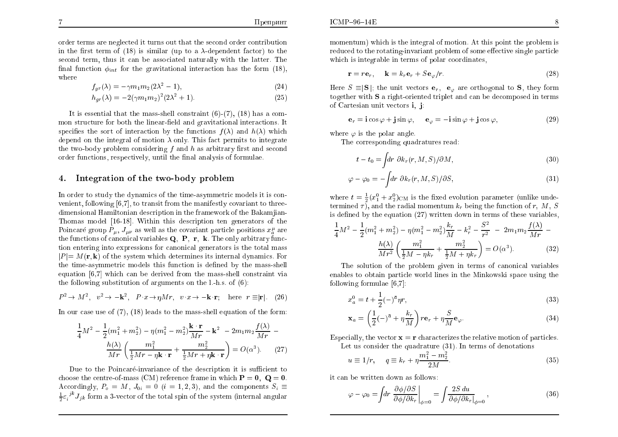order terms are neglected it turns out that the second order contribution in the first term of  $(18)$  is similar (up to a  $\lambda$ -dependent factor) to the second term thus it can be associated paturally with the latter. The second term, thus it can be associated naturally with the latter. The final function  $\phi_{int}$  for the gravitational interaction has the form (18), where

$$
f_{gr}(\lambda) = -\gamma m_1 m_2 (2\lambda^2 - 1),\tag{24}
$$

$$
h_{gr}(\lambda) = -2(\gamma m_1 m_2)^2 (2\lambda^2 + 1).
$$
 (25)

It is essential that the mass-shell constraint (6)-(7), (18) has a common structure for both the linear-field and gravitational interactions. It specifies the sort of interaction by the functions  $f(\lambda)$  and  $h(\lambda)$  which depend on the integral of motion  $\lambda$  only. This fact permits to integrate the two-body problem considering  $f$  and  $h$  as arbitrary first and second<br>order functions, non-ortizaly, until the final analysis of formulas  $\,$  order functions, respectively, until the final analysis of formulae.

#### 4.. Integration of the two-body problem

In order to study the dynamics of the time-asymmetric models it is convenient, following  $[6,7]$ , to transit from the manifestly covariant to three-<br>dimensional Hamiltonian description in the framework of the Polemiian dimensional Hamiltonian description in the framework of the Bakamjian-Thomas model [16-18]. Within this description ten generators of the Poincaré group  $P_{\mu}$ ,  $J_{\mu\nu}$  as well as the covariant particle positions  $x_a^{\mu}$  are the functions of canonical variables  $\mathbf{Q},~\mathbf{P},~\mathbf{r},~\mathbf{k}.$  The only arbitrary func tion entering into expressions for canonical generators is the total mass  $|P| = M(\mathbf{r}, \mathbf{k})$  of the system which determines its internal dynamics. For<br>the time estimate models this function is defined by the mess shell the time-asymmetric models this function is dened by the mass-shell equation [6,7] which can be derived from the mass-shell constraint via<br>the following substitution of engunants on the l, h s, of  $(6)$ . the following substitution of arguments on the l.-h.s. of (6):

$$
P^2 \to M^2, \quad v^2 \to -\mathbf{k}^2, \quad P \cdot x \to \eta M r, \quad v \cdot x \to -\mathbf{k} \cdot \mathbf{r}; \quad \text{here} \quad r \equiv |\mathbf{r}|. \tag{26}
$$

In our case use of (7), (18) leads to the mass-shell equation of the form:

$$
\frac{1}{4}M^2 - \frac{1}{2}(m_1^2 + m_2^2) - \eta(m_1^2 - m_2^2)\frac{\mathbf{k} \cdot \mathbf{r}}{Mr} - \mathbf{k}^2 - 2m_1m_2\frac{f(\lambda)}{Mr} - \frac{h(\lambda)}{Mr}\left(\frac{m_1^2}{\frac{1}{2}Mr - \eta\mathbf{k}\cdot\mathbf{r}} + \frac{m_2^2}{\frac{1}{2}Mr + \eta\mathbf{k}\cdot\mathbf{r}}\right) = O(\alpha^3).
$$
 (27)

Due to the Poincaré-invariance of the description it is sufficient to choose the centre-of-mass (CM) reference frame in which  $\mathbf{P}=\mathbf{0},\ \mathbf{Q}=\mathbf{0}$ . Accordingly,  $P_o = M$ ,  $J_{0i} = 0$   $(i = 1, 2, 3)$ , and the components  $S_i = \frac{1}{i}$  $\frac{1}{2} \varepsilon_i^{j k} J_{j k}$  form a 3-vector of the total spin of the system (internal angular momentum) which is the integral of motion. At this point the problem is<br>reduced to the retating inversion problem of some effective single portials reduced to the rotating-invariant problem of some effective single particle<br>which is internable in terms of polar escripates which is integrable in terms of polar coordinates,

$$
\mathbf{r} = r\mathbf{e}_r, \quad \mathbf{k} = k_r \mathbf{e}_r + S\mathbf{e}_{\varphi}/r. \tag{28}
$$

Here  $S \equiv |\mathbf{S}|$ ; the unit vectors  $\mathbf{e}_r$ ,  $\mathbf{e}_{\varphi}$  are orthogonal to **S**, they form together with  $S$  a right-oriented triplet and can be decomposed in terms of Cartesian unit vectors i; j:

$$
\mathbf{e}_r = \mathbf{i}\cos\varphi + \mathbf{j}\sin\varphi, \qquad \mathbf{e}_\varphi = -\mathbf{i}\sin\varphi + \mathbf{j}\cos\varphi,\tag{29}
$$

where  $\varphi$  is the polar angle.

The corresponding quadratures read:

$$
t - t_0 = \int dr \ \partial k_r(r, M, S) / \partial M,
$$
\n(30)

$$
\varphi - \varphi_0 = -\int dr \ \partial k_r(r, M, S) / \partial S,\tag{31}
$$

where  $t = \frac{1}{2}(x_1^0 + x_2^0)_{\text{CM}}$  is the fixed evolution parameter (unlike unde-<br>termined z), and the radial momentum *k*, being the function of  $x_i$ , *M*, *S* termined  $\tau$ ), and the radial momentum  $k_r$  being the function of r, M, S is defined by the equation  $(27)$  written down in terms of these variables,

$$
\frac{1}{4}M^2 - \frac{1}{2}(m_1^2 + m_2^2) - \eta(m_1^2 - m_2^2)\frac{k_r}{M} - k_r^2 - \frac{S^2}{r^2} - 2m_1m_2\frac{f(\lambda)}{Mr} - \frac{h(\lambda)}{Mr^2}\left(\frac{m_1^2}{\frac{1}{2}M - \eta k_r} + \frac{m_2^2}{\frac{1}{2}M + \eta k_r}\right) = O(\alpha^3).
$$
 (32)

The solution of the problem given in terms of canonical variables<br>bles to obtain portials would lines in the Minhamalii apose wing the enables to obtain particle world lines in the Minkowski space using the following formulae [6,7]:

$$
x_a^0 = t + \frac{1}{2}(-)^{\bar{a}} \eta r,\tag{33}
$$

$$
\mathbf{x}_a = \left(\frac{1}{2}(-)^{\bar{a}} + \eta \frac{k_r}{M}\right) r \mathbf{e}_r + \eta \frac{S}{M} \mathbf{e}_{\varphi}.
$$
 (34)

Especially, the vector  $\mathbf{x} = \mathbf{r}$  characterizes the relative motion of particles. Let us consider the quadrature (31). In terms of denotations

$$
u \equiv 1/r, \qquad q \equiv k_r + \eta \frac{m_1^2 - m_2^2}{2M}.
$$
 (35)

it can be written down as follows:

$$
\varphi - \varphi_0 = \int dr \left. \frac{\partial \phi / \partial S}{\partial \phi / \partial k_r} \right|_{\phi = 0} = \int \frac{2S \, du}{\partial \phi / \partial k_r|_{\phi = 0}},\tag{36}
$$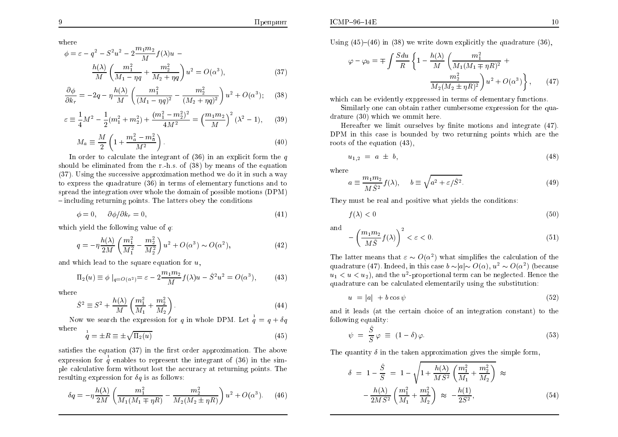where

$$
\phi = \varepsilon - q^2 - S^2 u^2 - 2 \frac{m_1 m_2}{M} f(\lambda) u -
$$

$$
\frac{h(\lambda)}{M} \left( \frac{m_1^2}{M_1 - \eta q} + \frac{m_2^2}{M_2 + \eta q} \right) u^2 = O(\alpha^3),
$$
(37)

$$
\frac{\partial \phi}{\partial k_r} = -2q - \eta \frac{h(\lambda)}{M} \left( \frac{m_1^2}{(M_1 - \eta q)^2} - \frac{m_2^2}{(M_2 + \eta q)^2} \right) u^2 + O(\alpha^3); \tag{38}
$$

$$
\varepsilon \equiv \frac{1}{4}M^2 - \frac{1}{2}(m_1^2 + m_2^2) + \frac{(m_1^2 - m_2^2)^2}{4M^2} = \left(\frac{m_1 m_2}{M}\right)^2 (\lambda^2 - 1),\tag{39}
$$

$$
M_a \equiv \frac{M}{2} \left( 1 + \frac{m_a^2 - m_{\tilde{a}}^2}{M^2} \right). \tag{40}
$$

In order to calculate the integrant of  $(36)$  in an explicit form the quality in the second of the second in  $\frac{1}{2}$ should be eliminated from the r.-h.s. of  $(38)$  by means of the equation  $(27)$ . Using the expressive energy institution  $\mathbf{r}$  which are do it in such a weak (37). Using the successive approximation method we do it in suc haway to express the quadrature (36) in terms of elementary functions and to spread the integration over whole the domain of possible motions (DPM)  $-$  including returning points. The latters obey the conditions  $\,$ 

$$
\phi = 0, \quad \partial \phi / \partial k_r = 0,\tag{41}
$$

which yield the following value of  $q$ :

$$
q = -\eta \frac{h(\lambda)}{2M} \left( \frac{m_1^2}{M_1^2} - \frac{m_2^2}{M_2^2} \right) u^2 + O(\alpha^3) \sim O(\alpha^2),\tag{42}
$$

and which lead to the square equation for  $u$ ,

$$
\Pi_2(u) \equiv \phi \mid_{q=O(\alpha^2)} = \varepsilon - 2 \frac{m_1 m_2}{M} f(\lambda) u - \hat{S}^2 u^2 = O(\alpha^3), \tag{43}
$$

where

$$
\hat{S}^2 \equiv S^2 + \frac{h(\lambda)}{M} \left( \frac{m_1^2}{M_1} + \frac{m_2^2}{M_2} \right).
$$
 (44)

Now we search the expression for q in whole DPM. Let  $\frac{1}{q} = q + \delta q$  where1

$$
\dot{q} = \pm R \equiv \pm \sqrt{\Pi_2(u)}\tag{45}
$$

satisfies the equation  $(37)$  in the first order approximation. The above expression for  $\frac{1}{q}$  enables to represent the integrant of (36) in the simple calculative form without lost the accuracy at returning points. The<br>resulting expression for  $\delta s$  is as follows: resulting expression for  $\delta q$  is as follows:

$$
\delta q = -\eta \frac{h(\lambda)}{2M} \left( \frac{m_1^2}{M_1(M_1 \mp \eta R)} - \frac{m_2^2}{M_2(M_2 \pm \eta R)} \right) u^2 + O(\alpha^3). \tag{46}
$$

Using  $(45)–(46)$  in  $(38)$  we write down explicitly the quadrature  $(36)$ ,

$$
\varphi - \varphi_0 = \mp \int \frac{S du}{R} \left\{ 1 - \frac{h(\lambda)}{M} \left( \frac{m_1^2}{M_1 (M_1 \mp \eta R)^2} + \frac{m_2^2}{M_2 (M_2 \pm \eta R)^2} \right) u^2 + O(\alpha^3) \right\}, \qquad (47)
$$

which can be evidently exppressed in terms of elementary functions.

Similarly one can obtain rather cumbersome expression for the qua $drature(30)$  which we ommit here.

Hereafter we limit ourselves by finite motions and integrate (47). DPM in this case is bounded by two returning points which are the roots of the countion  $(43)$ roots of the equation (43),

$$
u_{1,2} = a \pm b,\tag{48}
$$

where

$$
a \equiv \frac{m_1 m_2}{M \hat{S}^2} f(\lambda), \quad b \equiv \sqrt{a^2 + \varepsilon / \hat{S}^2}.
$$
 (49)

They must be real and positive what yields the conditions:

$$
f(\lambda) < 0 \tag{50}
$$

$$
\text{and} \quad -\left(\frac{m_1 m_2}{M\hat{S}} f(\lambda)\right)^2 < \varepsilon < 0. \tag{51}
$$

The latter means that  $\varepsilon \sim O(\alpha^2)$  what simplifies the calculation of the quadrature (47). Indeed, in this case  $b \sim |a| \sim O(\alpha)$ ,  $u^2 \sim O(\alpha^2)$  (because  $u_1 < u < u_2$ ), and the  $u^2$ -proportional term can be neglected. Hence the quadrature can be calculated elementarily using the substitution:

$$
u = |a| + b \cos \psi \tag{52}
$$

and it leads (at the certain choice of an integration constant) to the following equality:

$$
\psi = \frac{\hat{S}}{S} \varphi \equiv (1 - \delta) \varphi. \tag{53}
$$

The quantity  $\delta$  in the taken approximation gives the simple form,

$$
\delta = 1 - \frac{\hat{S}}{S} = 1 - \sqrt{1 + \frac{h(\lambda)}{MS^2} \left(\frac{m_1^2}{M_1} + \frac{m_2^2}{M_2}\right)} \approx -\frac{h(\lambda)}{2MS^2} \left(\frac{m_1^2}{M_1} + \frac{m_2^2}{M_2}\right) \approx -\frac{h(1)}{2S^2},
$$
\n(54)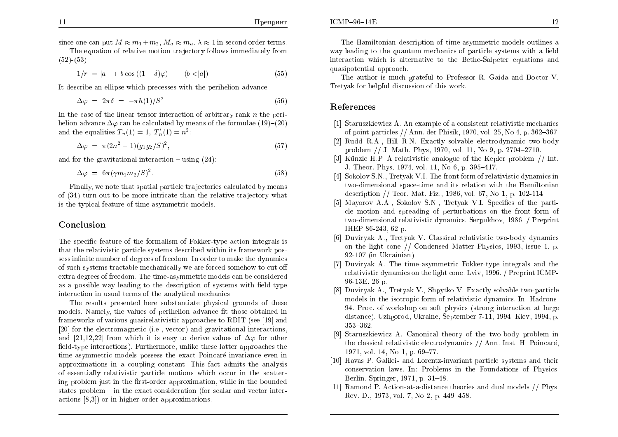since one can put  $M \approx m_1 + m_2$ ,  $M_a \approx m_a$ ,  $\lambda \approx 1$  in second order terms.

The equation of relative motion trajectory follows immediately from  $\mathbb{R}^n$  $(52)$ - $(53)$ :

$$
1/r = |a| + b \cos((1 - \delta)\varphi) \qquad (b < |a|). \tag{55}
$$

It describe an ellipse whic h precesses with the perihelion advance

$$
\Delta \varphi = 2\pi \delta = -\pi h(1)/S^2. \tag{56}
$$

In the case of the linear tensor interaction of arbitrary rank *n* the perihelion advance  $\Delta\varphi$  can be calculated by means of the formulae (19)–(20) and the equalities  $T_n(1) = 1$ ,  $T'_n(1) = n^2$ :

$$
\Delta \varphi = \pi (2n^2 - 1)(g_1 g_2 / S)^2, \tag{57}
$$

and for the gravitational interaction  $-$  using  $(24)$ :

$$
\Delta \varphi = 6\pi (\gamma m_1 m_2 / S)^2. \tag{58}
$$

 $Finally,$  we note that spatial particle trajectories calculated by means of (34) turn out to be more intricate than the relative tra jectory what is the typical feature of time-asymmetric models.

### Conclusion

The specific feature of the formalism of Fokker-type action integrals is<br>that the polativistic particle systems described within its framework pess that the relativistic particle systems described within its framework possess infinite number of degrees of freedom. In order to make the dynamics of such systems tractable mechanically we are forced someho w to cut <sup>o</sup> extra degrees of freedom. The time-asymmetric models can be considered as a possible way leading to the description of systems with field-type interaction in usual terms of the analytical mechanics.

The results presented here substantiate <sup>p</sup>hysical grounds of these models. Namely, the values of perihelion advance fit those obtained in frameworks of various quasirelativistic approaches to RDIT (see [19] and [20] for the electromagnetic (i.e., vector) and gravitational interactions, and  $[21,12,22]$  from which it is easy to derive values of  $\Delta\varphi$  for other  $\operatorname{field-type}\operatorname{interactions}$ ). Furthermore, unlike these latter approaches the time-asymmetric models possess the exact Poincaré invariance even in  $a$ pproximations in a coupling constant. This fact  $a$ dmits the analysis of essentially relativistic particle motions whic h occur in the scattering problem just in the first-order approximation, while in the bounded<br>states problem – in the syset consideration (for seeler and wester interstates problem – in the exact consideration (for scalar and vector interactions [8,3]) or in higher-order approximations.

The Hamiltonian description of time-asymmetric models outlines away leading to the quantum mechanics of particle systems with a field<br>interestion which is elternative to the Bathe Selpater constigue and interaction whic h is alternative to the Bethe-Salpeter equations and quasipotential approach.

The author is much grateful to Professor R. Gaida and Doctor V. Tretyak for helpful discussion of this work.

## References

- [1] Staruszkiewicz A. An example of a consistent relativistic mechanics of point particles // Ann. der Phisik, 1970, vol.  $25$ , No  $4$ , p.  $362-367$ .
- [2] Rudd R.A., Hill R.N. Exactly solvable electrodynamic two-body problem // J. Math. Phys, 1970, vol. 11, No 9, p. 2704–2710.<br>Könke H.P. Aughtinistic angle muscle Karlen nuchlan.
- [3] Künzle H.P. A relativistic analogue of the Kepler problem  $//$  Int. J. Theor. Phys, 1974, vol. 11, No 6, p. 395–417.
- [4] Sokolov S.N., Tretyak V.I. The front form of relativistic dynamics in two-dimensional space-time and its relation with the Hamiltonian description // Teor. Mat. Fiz., 1986, vol. 67, No 1, p. 102-114.
- [5] Mayorov A.A., Sokolov S.N., Tretyak V.I. Specifics of the particle motion and spreading of perturbations on the front form of two-dimensional relativistic dynamics. Serpukhov, 1986. / Preprint IHEP 86-243, <sup>62</sup> p.
- [6] Duviryak A., Tretyak V. Classical relativistic two-body dynamics on the light cone // Condensed Matter Physics, 1993, issue 1, p. 92-107 (in Ukrainian).
- [7] Duviryak A. The time-asymmetric Fokker-type integrals and the relativistic dynamics on the light cone. Lviv, 1996. / Preprint ICMP-96-13E, 26 p.
- [8] Duviryak A., Tretyak V., Shpytko V. Exactly solvable two-particle models in the isotropic form of relativistic dynamics. In: Hadrons-<br>04. Press, of merkshap an ask physics (streng interaction at large 94. Proc. of workshop on soft physics (strong interaction at large distance). Uzhgorod, Ukraine, September 7-11, 1994. Kiev, 1994, p. 353-362.
- [9] Staruszkiewicz A. Canonical theory of the two-body problem in<br>the classical polativistic electrodynamics  $\ell/\Lambda$ nn Inst. H. Beineará the classical relativistic electrodynamics // Ann. Inst. H. Poincaré, 1971, vol. 14, No 1, p. 69–77.
- [10] Havas P. Galilei- and Lorentz-invariant particle systems and their conservation laws. In: Problems in the Foundations of Physics. Berlin, Springer, 1971, p. 31–48.
- [11] RamondP. Action-at-a-distance theories and dual models // Phys. Rev. D., 1973, vol. 7, No 2, p. 449–458.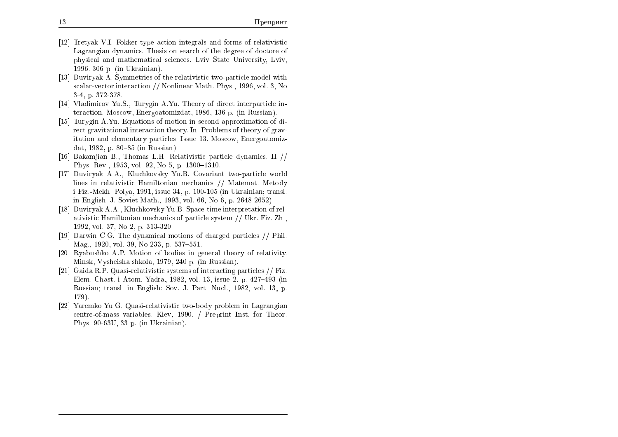- [12] Tretyak V.I. Fokker-type action integrals and forms of relativistic Lagrangian dynamics. Thesis on search of the degree of doctore of physical and mathematical sciences. Lviv State University, Lviv, 1996. 306 p. (in Ukrainian).
- [13] Duviryak A. Symmetries of the relativistic two-particle model with scalar-vector interaction // Nonlinear Math. Phys., 1996, vol. 3, No 3-4, p. 372-378.
- [14] Vladimirov Yu.S., Turygin A.Yu. Theory of direct interparticle interaction. Moscow, Energoatomizdat, 1986, 136 p. (in Russian).
- [15] Turygin A.Yu. Equations of motion in second approximation of direct gravitational interaction theory. In: Problems of theory of gravitation and elementary particles. Issue 13. Moscow, Energoatomizdat, 1982, p. 80–85 (in Russian).
- [16] Bakamjian B., Thomas L.H. Relativistic particle dynamics. II // Phys. Rev., 1953, vol. 92, No 5, p. 1300–1310.
- [17] Duviryak A.A., Kluchkovsky Yu.B. Covariant two-particle world lines in relativistic Hamiltonian mechanics // Matemat. Metody i Fiz.-Mekh. Polya, 1991, issue 34, p. 100-105 (in Ukrainian; transl. in English: J. Soviet Math., 1993, vol. 66, No 6, p. 2648-2652).
- [18] Duviryak A.A., Kluchkovsky Yu.B. Space-time interpretation of relativistic Hamiltonian mechanics of particle system // Ukr. Fiz. Zh.,<br>1002. vel. 27. No.2. p. 212.290. 1992, vol. 37, No 2, p. 313-320.
- [19] Darwin C.G. The dynamical motions of charged particles // Phil. Mag., 1920, vol. 39, No 233, p.  $537-551$ .
- [20] Ryabushko A.P. Motion of bodies in genera<sup>l</sup> theory of relativity. Minsk, Vysheisha shkola, 1979, <sup>240</sup> p. (in Russian).
- [21] Gaida R.P. Quasi-relativistic systems of interacting particles // Fiz. Elem. Chast. i Atom. Yadra, 1982, vol. 13, issue 2, p. 427–493 (in Russian; transl. in English: Sov. J. Part. Nucl., 1982, vol. 13, p. 179).
- [22] Yaremko Yu.G. Quasi-relativistic two-body problem in Lagrangian centre-of-mass variables. Kiev, 1990. / Preprint Inst. for Theor. Phys. 90-63U, 33 p. (in Ukrainian).